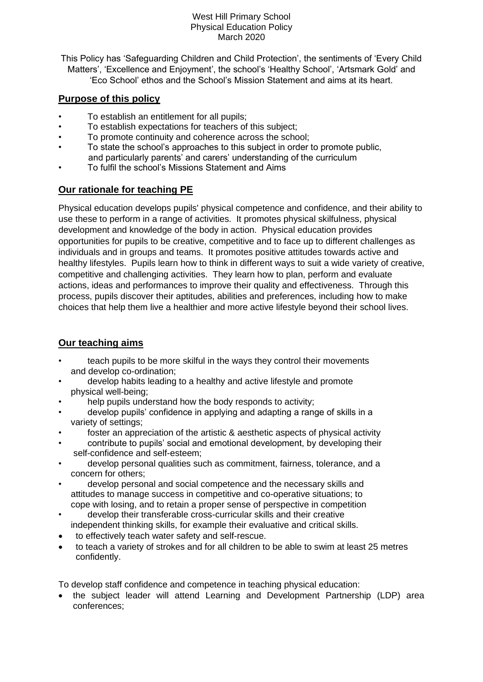This Policy has 'Safeguarding Children and Child Protection', the sentiments of 'Every Child Matters', 'Excellence and Enjoyment', the school's 'Healthy School', 'Artsmark Gold' and 'Eco School' ethos and the School's Mission Statement and aims at its heart.

## **Purpose of this policy**

- To establish an entitlement for all pupils;
- To establish expectations for teachers of this subject;
- To promote continuity and coherence across the school:
- To state the school's approaches to this subject in order to promote public, and particularly parents' and carers' understanding of the curriculum
- To fulfil the school's Missions Statement and Aims

## **Our rationale for teaching PE**

Physical education develops pupils' physical competence and confidence, and their ability to use these to perform in a range of activities. It promotes physical skilfulness, physical development and knowledge of the body in action. Physical education provides opportunities for pupils to be creative, competitive and to face up to different challenges as individuals and in groups and teams. It promotes positive attitudes towards active and healthy lifestyles. Pupils learn how to think in different ways to suit a wide variety of creative, competitive and challenging activities. They learn how to plan, perform and evaluate actions, ideas and performances to improve their quality and effectiveness. Through this process, pupils discover their aptitudes, abilities and preferences, including how to make choices that help them live a healthier and more active lifestyle beyond their school lives.

# **Our teaching aims**

- teach pupils to be more skilful in the ways they control their movements and develop co-ordination;
- develop habits leading to a healthy and active lifestyle and promote physical well-being;
- help pupils understand how the body responds to activity;
- develop pupils' confidence in applying and adapting a range of skills in a variety of settings;
- foster an appreciation of the artistic & aesthetic aspects of physical activity
- contribute to pupils' social and emotional development, by developing their self-confidence and self-esteem;
- develop personal qualities such as commitment, fairness, tolerance, and a concern for others;
- develop personal and social competence and the necessary skills and attitudes to manage success in competitive and co-operative situations; to cope with losing, and to retain a proper sense of perspective in competition
- develop their transferable cross-curricular skills and their creative independent thinking skills, for example their evaluative and critical skills.
- to effectively teach water safety and self-rescue.
- to teach a variety of strokes and for all children to be able to swim at least 25 metres confidently.

To develop staff confidence and competence in teaching physical education:

• the subject leader will attend Learning and Development Partnership (LDP) area conferences;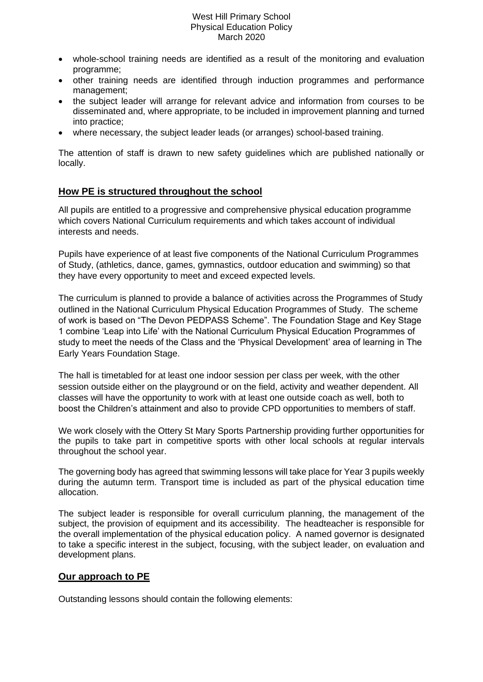- whole-school training needs are identified as a result of the monitoring and evaluation programme;
- other training needs are identified through induction programmes and performance management;
- the subject leader will arrange for relevant advice and information from courses to be disseminated and, where appropriate, to be included in improvement planning and turned into practice;
- where necessary, the subject leader leads (or arranges) school-based training.

The attention of staff is drawn to new safety guidelines which are published nationally or locally.

## **How PE is structured throughout the school**

All pupils are entitled to a progressive and comprehensive physical education programme which covers National Curriculum requirements and which takes account of individual interests and needs.

Pupils have experience of at least five components of the National Curriculum Programmes of Study, (athletics, dance, games, gymnastics, outdoor education and swimming) so that they have every opportunity to meet and exceed expected levels.

The curriculum is planned to provide a balance of activities across the Programmes of Study outlined in the National Curriculum Physical Education Programmes of Study. The scheme of work is based on "The Devon PEDPASS Scheme". The Foundation Stage and Key Stage 1 combine 'Leap into Life' with the National Curriculum Physical Education Programmes of study to meet the needs of the Class and the 'Physical Development' area of learning in The Early Years Foundation Stage.

The hall is timetabled for at least one indoor session per class per week, with the other session outside either on the playground or on the field, activity and weather dependent. All classes will have the opportunity to work with at least one outside coach as well, both to boost the Children's attainment and also to provide CPD opportunities to members of staff.

We work closely with the Ottery St Mary Sports Partnership providing further opportunities for the pupils to take part in competitive sports with other local schools at regular intervals throughout the school year.

The governing body has agreed that swimming lessons will take place for Year 3 pupils weekly during the autumn term. Transport time is included as part of the physical education time allocation.

The subject leader is responsible for overall curriculum planning, the management of the subject, the provision of equipment and its accessibility. The headteacher is responsible for the overall implementation of the physical education policy. A named governor is designated to take a specific interest in the subject, focusing, with the subject leader, on evaluation and development plans.

### **Our approach to PE**

Outstanding lessons should contain the following elements: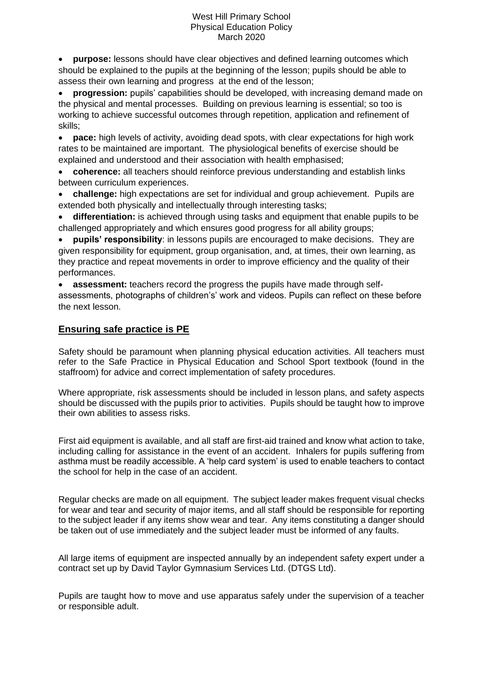• **purpose:** lessons should have clear objectives and defined learning outcomes which should be explained to the pupils at the beginning of the lesson; pupils should be able to assess their own learning and progress at the end of the lesson;

• **progression:** pupils' capabilities should be developed, with increasing demand made on the physical and mental processes. Building on previous learning is essential; so too is working to achieve successful outcomes through repetition, application and refinement of skills;

• **pace:** high levels of activity, avoiding dead spots, with clear expectations for high work rates to be maintained are important. The physiological benefits of exercise should be explained and understood and their association with health emphasised;

• **coherence:** all teachers should reinforce previous understanding and establish links between curriculum experiences.

• **challenge:** high expectations are set for individual and group achievement. Pupils are extended both physically and intellectually through interesting tasks;

• **differentiation:** is achieved through using tasks and equipment that enable pupils to be challenged appropriately and which ensures good progress for all ability groups;

• **pupils' responsibility**: in lessons pupils are encouraged to make decisions. They are given responsibility for equipment, group organisation, and, at times, their own learning, as they practice and repeat movements in order to improve efficiency and the quality of their performances.

• **assessment:** teachers record the progress the pupils have made through selfassessments, photographs of children's' work and videos. Pupils can reflect on these before the next lesson.

## **Ensuring safe practice is PE**

Safety should be paramount when planning physical education activities. All teachers must refer to the Safe Practice in Physical Education and School Sport textbook (found in the staffroom) for advice and correct implementation of safety procedures.

Where appropriate, risk assessments should be included in lesson plans, and safety aspects should be discussed with the pupils prior to activities. Pupils should be taught how to improve their own abilities to assess risks.

First aid equipment is available, and all staff are first-aid trained and know what action to take, including calling for assistance in the event of an accident. Inhalers for pupils suffering from asthma must be readily accessible. A 'help card system' is used to enable teachers to contact the school for help in the case of an accident.

Regular checks are made on all equipment. The subject leader makes frequent visual checks for wear and tear and security of major items, and all staff should be responsible for reporting to the subject leader if any items show wear and tear. Any items constituting a danger should be taken out of use immediately and the subject leader must be informed of any faults.

All large items of equipment are inspected annually by an independent safety expert under a contract set up by David Taylor Gymnasium Services Ltd. (DTGS Ltd).

Pupils are taught how to move and use apparatus safely under the supervision of a teacher or responsible adult.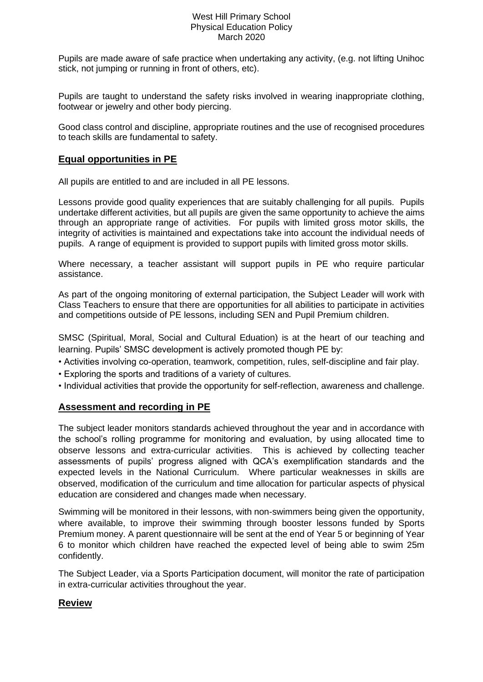Pupils are made aware of safe practice when undertaking any activity, (e.g. not lifting Unihoc stick, not jumping or running in front of others, etc).

Pupils are taught to understand the safety risks involved in wearing inappropriate clothing, footwear or jewelry and other body piercing.

Good class control and discipline, appropriate routines and the use of recognised procedures to teach skills are fundamental to safety.

### **Equal opportunities in PE**

All pupils are entitled to and are included in all PE lessons.

Lessons provide good quality experiences that are suitably challenging for all pupils. Pupils undertake different activities, but all pupils are given the same opportunity to achieve the aims through an appropriate range of activities. For pupils with limited gross motor skills, the integrity of activities is maintained and expectations take into account the individual needs of pupils. A range of equipment is provided to support pupils with limited gross motor skills.

Where necessary, a teacher assistant will support pupils in PE who require particular assistance.

As part of the ongoing monitoring of external participation, the Subject Leader will work with Class Teachers to ensure that there are opportunities for all abilities to participate in activities and competitions outside of PE lessons, including SEN and Pupil Premium children.

SMSC (Spiritual, Moral, Social and Cultural Eduation) is at the heart of our teaching and learning. Pupils' SMSC development is actively promoted though PE by:

- Activities involving co-operation, teamwork, competition, rules, self-discipline and fair play.
- Exploring the sports and traditions of a variety of cultures.
- Individual activities that provide the opportunity for self-reflection, awareness and challenge.

### **Assessment and recording in PE**

The subject leader monitors standards achieved throughout the year and in accordance with the school's rolling programme for monitoring and evaluation, by using allocated time to observe lessons and extra-curricular activities. This is achieved by collecting teacher assessments of pupils' progress aligned with QCA's exemplification standards and the expected levels in the National Curriculum. Where particular weaknesses in skills are observed, modification of the curriculum and time allocation for particular aspects of physical education are considered and changes made when necessary.

Swimming will be monitored in their lessons, with non-swimmers being given the opportunity, where available, to improve their swimming through booster lessons funded by Sports Premium money. A parent questionnaire will be sent at the end of Year 5 or beginning of Year 6 to monitor which children have reached the expected level of being able to swim 25m confidently.

The Subject Leader, via a Sports Participation document, will monitor the rate of participation in extra-curricular activities throughout the year.

### **Review**